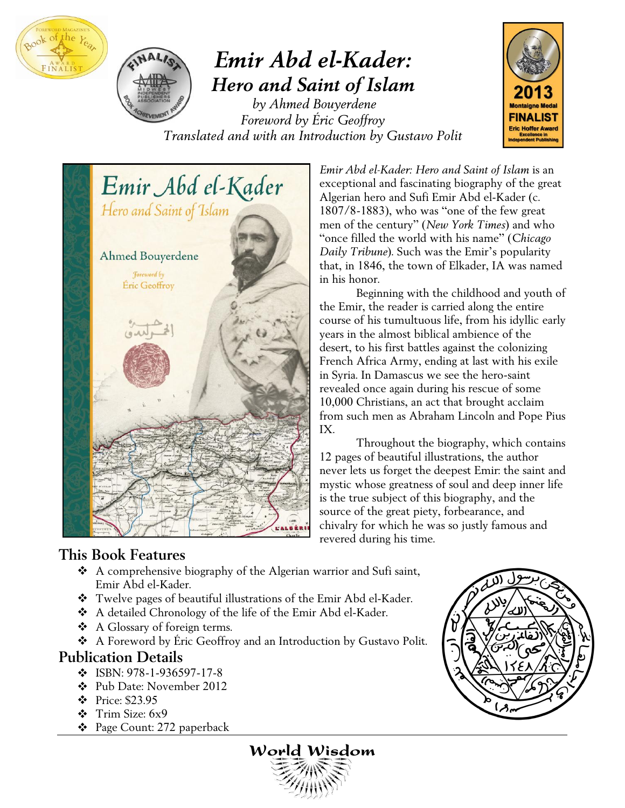



# *Emir Abd el-Kader: Hero and Saint of Islam*

*by Ahmed Bouyerdene Foreword by Éric Geoffroy Translated and with an Introduction by Gustavo Polit*





*Emir Abd el-Kader: Hero and Saint of Islam* is an exceptional and fascinating biography of the great Algerian hero and Sufi Emir Abd el-Kader (c.  $1807/8-1883$ ), who was "one of the few great" men of the century" (*New York Times*) and who "once filled the world with his name" (*Chicago Daily Tribune*). Such was the Emir's popularity that, in 1846, the town of Elkader, IA was named in his honor.

 Beginning with the childhood and youth of the Emir, the reader is carried along the entire course of his tumultuous life, from his idyllic early years in the almost biblical ambience of the desert, to his first battles against the colonizing French Africa Army, ending at last with his exile in Syria. In Damascus we see the hero-saint revealed once again during his rescue of some 10,000 Christians, an act that brought acclaim from such men as Abraham Lincoln and Pope Pius IX.

 Throughout the biography, which contains 12 pages of beautiful illustrations, the author never lets us forget the deepest Emir: the saint and mystic whose greatness of soul and deep inner life is the true subject of this biography, and the source of the great piety, forbearance, and chivalry for which he was so justly famous and revered during his time.

### **This Book Features**

- A comprehensive biography of the Algerian warrior and Sufi saint, Emir Abd el-Kader.
- Twelve pages of beautiful illustrations of the Emir Abd el-Kader.
- A detailed Chronology of the life of the Emir Abd el-Kader.
- A Glossary of foreign terms.
- A Foreword by Éric Geoffroy and an Introduction by Gustavo Polit.

### **Publication Details**

- $\cdot$  ISBN: 978-1-936597-17-8
- Pub Date: November 2012
- Price: \$23.95
- Trim Size: 6x9
- Page Count: 272 paperback



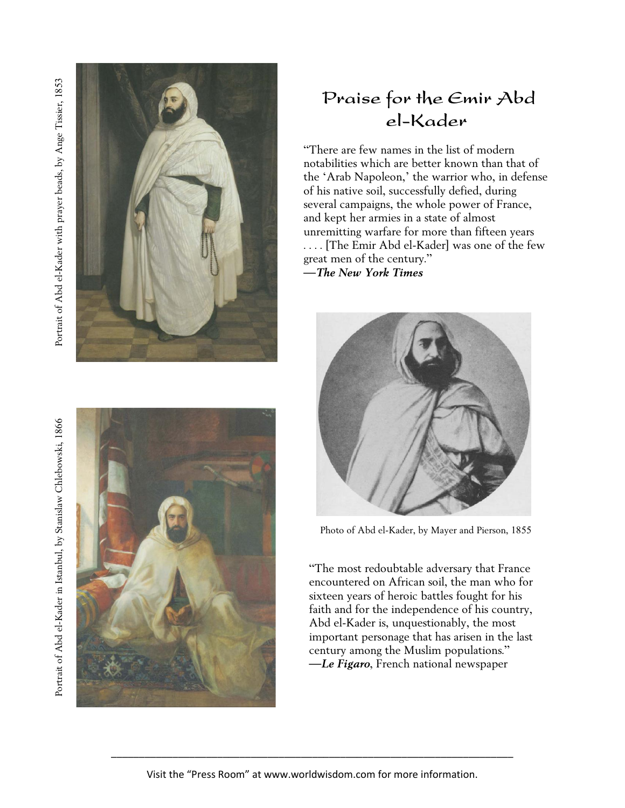Portrait of Abd el-Kader with prayer beads, by Ange Tissier, 1853 Portrait of Abd el-Kader with prayer beads, by Ange Tissier, 1853



Portrait of Abd el-Kader in Istanbul, by Stanislaw Chlebowski, 1866 Portrait of Abd el-Kader in Istanbul, by Stanislaw Chlebowski, 1866



# Praise for the Emir Abd el-Kader

―There are few names in the list of modern notabilities which are better known than that of the 'Arab Napoleon,' the warrior who, in defense of his native soil, successfully defied, during several campaigns, the whole power of France, and kept her armies in a state of almost unremitting warfare for more than fifteen years . . . . [The Emir Abd el-Kader] was one of the few great men of the century." —*The New York Times*



Photo of Abd el-Kader, by Mayer and Pierson, 1855

―The most redoubtable adversary that France encountered on African soil, the man who for sixteen years of heroic battles fought for his faith and for the independence of his country, Abd el-Kader is, unquestionably, the most important personage that has arisen in the last century among the Muslim populations." —*Le Figaro*, French national newspaper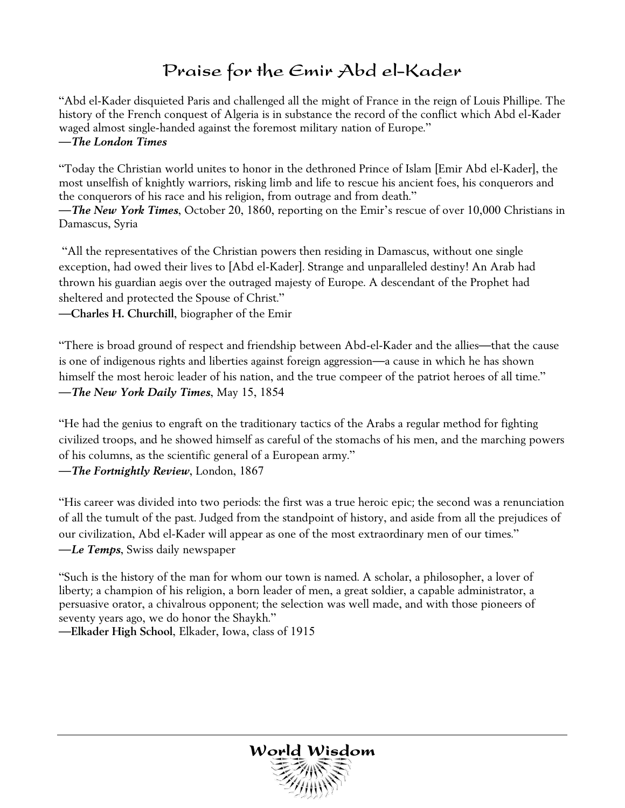# Praise for the Emir Abd el-Kader

―Abd el-Kader disquieted Paris and challenged all the might of France in the reign of Louis Phillipe. The history of the French conquest of Algeria is in substance the record of the conflict which Abd el-Kader waged almost single-handed against the foremost military nation of Europe." —*The London Times*

―Today the Christian world unites to honor in the dethroned Prince of Islam [Emir Abd el-Kader], the most unselfish of knightly warriors, risking limb and life to rescue his ancient foes, his conquerors and the conquerors of his race and his religion, from outrage and from death."

—*The New York Times*, October 20, 1860, reporting on the Emir's rescue of over 10,000 Christians in Damascus, Syria

―All the representatives of the Christian powers then residing in Damascus, without one single exception, had owed their lives to [Abd el-Kader]. Strange and unparalleled destiny! An Arab had thrown his guardian aegis over the outraged majesty of Europe. A descendant of the Prophet had sheltered and protected the Spouse of Christ."

—**Charles H. Churchill**, biographer of the Emir

―There is broad ground of respect and friendship between Abd-el-Kader and the allies—that the cause is one of indigenous rights and liberties against foreign aggression—a cause in which he has shown himself the most heroic leader of his nation, and the true compeer of the patriot heroes of all time." —*The New York Daily Times*, May 15, 1854

"He had the genius to engraft on the traditionary tactics of the Arabs a regular method for fighting civilized troops, and he showed himself as careful of the stomachs of his men, and the marching powers of his columns, as the scientific general of a European army."

—*The Fortnightly Review*, London, 1867

―His career was divided into two periods: the first was a true heroic epic; the second was a renunciation of all the tumult of the past. Judged from the standpoint of history, and aside from all the prejudices of our civilization, Abd el-Kader will appear as one of the most extraordinary men of our times." —*Le Temps*, Swiss daily newspaper

―Such is the history of the man for whom our town is named. A scholar, a philosopher, a lover of liberty; a champion of his religion, a born leader of men, a great soldier, a capable administrator, a persuasive orator, a chivalrous opponent; the selection was well made, and with those pioneers of seventy years ago, we do honor the Shaykh."

—**Elkader High School**, Elkader, Iowa, class of 1915

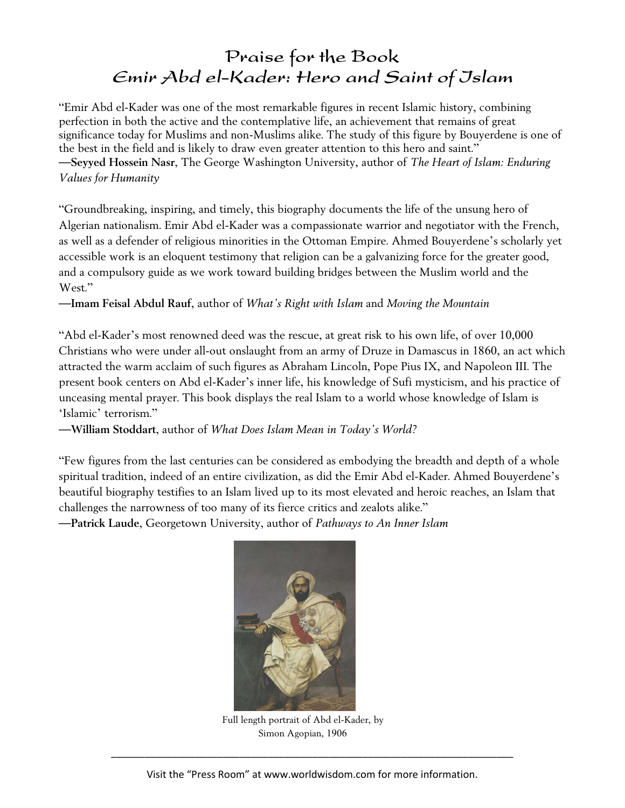## Praise for the Book Emir Abd el-Kader: Hero and Saint of Jslam

―Emir Abd el-Kader was one of the most remarkable figures in recent Islamic history, combining perfection in both the active and the contemplative life, an achievement that remains of great significance today for Muslims and non-Muslims alike. The study of this figure by Bouyerdene is one of the best in the field and is likely to draw even greater attention to this hero and saint." —**Seyyed Hossein Nasr**, The George Washington University, author of *The Heart of Islam: Enduring Values for Humanity*

―Groundbreaking, inspiring, and timely, this biography documents the life of the unsung hero of Algerian nationalism. Emir Abd el-Kader was a compassionate warrior and negotiator with the French, as well as a defender of religious minorities in the Ottoman Empire. Ahmed Bouyerdene's scholarly yet accessible work is an eloquent testimony that religion can be a galvanizing force for the greater good, and a compulsory guide as we work toward building bridges between the Muslim world and the West."

—**Imam Feisal Abdul Rauf**, author of *What's Right with Islam* and *Moving the Mountain*

―Abd el-Kader's most renowned deed was the rescue, at great risk to his own life, of over 10,000 Christians who were under all-out onslaught from an army of Druze in Damascus in 1860, an act which attracted the warm acclaim of such figures as Abraham Lincoln, Pope Pius IX, and Napoleon III. The present book centers on Abd el-Kader's inner life, his knowledge of Sufi mysticism, and his practice of unceasing mental prayer. This book displays the real Islam to a world whose knowledge of Islam is 'Islamic' terrorism."

—**William Stoddart**, author of *What Does Islam Mean in Today's World?*

―Few figures from the last centuries can be considered as embodying the breadth and depth of a whole spiritual tradition, indeed of an entire civilization, as did the Emir Abd el-Kader. Ahmed Bouyerdene's beautiful biography testifies to an Islam lived up to its most elevated and heroic reaches, an Islam that challenges the narrowness of too many of its fierce critics and zealots alike."

—**Patrick Laude**, Georgetown University, author of *Pathways to An Inner Islam*



Full length portrait of Abd el-Kader, by Simon Agopian, 1906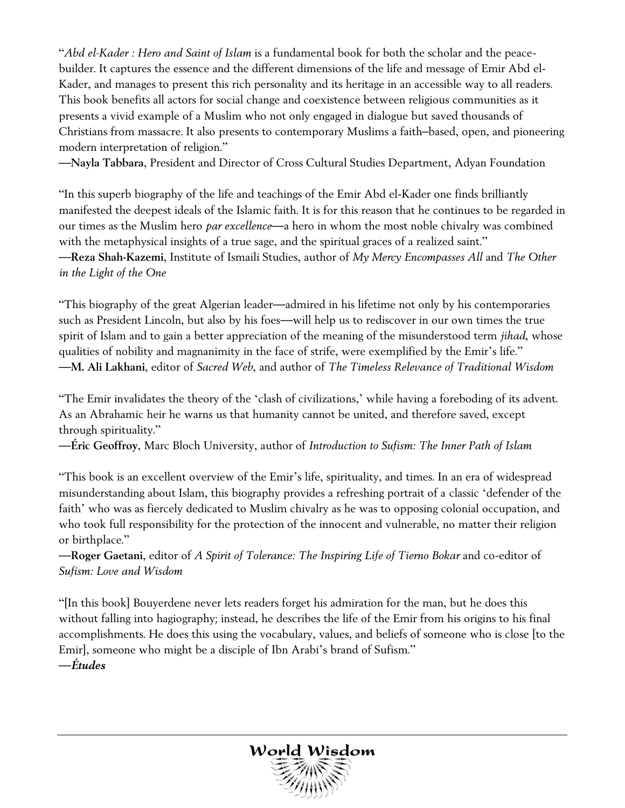―*Abd el-Kader : Hero and Saint of Islam* is a fundamental book for both the scholar and the peacebuilder. It captures the essence and the different dimensions of the life and message of Emir Abd el-Kader, and manages to present this rich personality and its heritage in an accessible way to all readers. This book benefits all actors for social change and coexistence between religious communities as it presents a vivid example of a Muslim who not only engaged in dialogue but saved thousands of Christians from massacre. It also presents to contemporary Muslims a faith–based, open, and pioneering modern interpretation of religion."

—**Nayla Tabbara**, President and Director of Cross Cultural Studies Department, Adyan Foundation

"In this superb biography of the life and teachings of the Emir Abd el-Kader one finds brilliantly manifested the deepest ideals of the Islamic faith. It is for this reason that he continues to be regarded in our times as the Muslim hero *par excellence*—a hero in whom the most noble chivalry was combined with the metaphysical insights of a true sage, and the spiritual graces of a realized saint." —**Reza Shah-Kazemi**, Institute of Ismaili Studies, author of *My Mercy Encompasses All* and *The Other in the Light of the One*

―This biography of the great Algerian leader—admired in his lifetime not only by his contemporaries such as President Lincoln, but also by his foes—will help us to rediscover in our own times the true spirit of Islam and to gain a better appreciation of the meaning of the misunderstood term *jihad*, whose qualities of nobility and magnanimity in the face of strife, were exemplified by the Emir's life." —**M. Ali Lakhani**, editor of *Sacred Web*, and author of *The Timeless Relevance of Traditional Wisdom* 

"The Emir invalidates the theory of the 'clash of civilizations,' while having a foreboding of its advent. As an Abrahamic heir he warns us that humanity cannot be united, and therefore saved, except through spirituality."

—**Éric Geoffroy**, Marc Bloch University, author of *Introduction to Sufism: The Inner Path of Islam* 

"This book is an excellent overview of the Emir's life, spirituality, and times. In an era of widespread misunderstanding about Islam, this biography provides a refreshing portrait of a classic 'defender of the faith' who was as fiercely dedicated to Muslim chivalry as he was to opposing colonial occupation, and who took full responsibility for the protection of the innocent and vulnerable, no matter their religion or birthplace."

—**Roger Gaetani**, editor of *A Spirit of Tolerance: The Inspiring Life of Tierno Bokar* and co-editor of *Sufism: Love and Wisdom*

―[In this book] Bouyerdene never lets readers forget his admiration for the man, but he does this without falling into hagiography; instead, he describes the life of the Emir from his origins to his final accomplishments. He does this using the vocabulary, values, and beliefs of someone who is close [to the Emir], someone who might be a disciple of Ibn Arabi's brand of Sufism." —*Études*

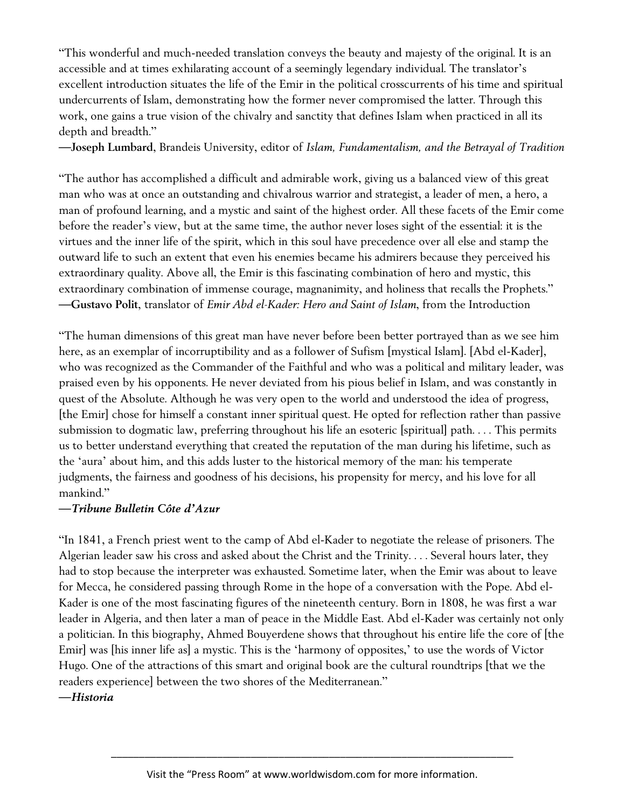―This wonderful and much-needed translation conveys the beauty and majesty of the original. It is an accessible and at times exhilarating account of a seemingly legendary individual. The translator's excellent introduction situates the life of the Emir in the political crosscurrents of his time and spiritual undercurrents of Islam, demonstrating how the former never compromised the latter. Through this work, one gains a true vision of the chivalry and sanctity that defines Islam when practiced in all its depth and breadth."

—**Joseph Lumbard**, Brandeis University, editor of *Islam, Fundamentalism, and the Betrayal of Tradition*

―The author has accomplished a difficult and admirable work, giving us a balanced view of this great man who was at once an outstanding and chivalrous warrior and strategist, a leader of men, a hero, a man of profound learning, and a mystic and saint of the highest order. All these facets of the Emir come before the reader's view, but at the same time, the author never loses sight of the essential: it is the virtues and the inner life of the spirit, which in this soul have precedence over all else and stamp the outward life to such an extent that even his enemies became his admirers because they perceived his extraordinary quality. Above all, the Emir is this fascinating combination of hero and mystic, this extraordinary combination of immense courage, magnanimity, and holiness that recalls the Prophets." —**Gustavo Polit**, translator of *Emir Abd el-Kader: Hero and Saint of Islam*, from the Introduction

―The human dimensions of this great man have never before been better portrayed than as we see him here, as an exemplar of incorruptibility and as a follower of Sufism [mystical Islam]. [Abd el-Kader], who was recognized as the Commander of the Faithful and who was a political and military leader, was praised even by his opponents. He never deviated from his pious belief in Islam, and was constantly in quest of the Absolute. Although he was very open to the world and understood the idea of progress, [the Emir] chose for himself a constant inner spiritual quest. He opted for reflection rather than passive submission to dogmatic law, preferring throughout his life an esoteric [spiritual] path. . . . This permits us to better understand everything that created the reputation of the man during his lifetime, such as the 'aura' about him, and this adds luster to the historical memory of the man: his temperate judgments, the fairness and goodness of his decisions, his propensity for mercy, and his love for all mankind."

#### —*Tribune Bulletin Côte d'Azur*

―In 1841, a French priest went to the camp of Abd el-Kader to negotiate the release of prisoners. The Algerian leader saw his cross and asked about the Christ and the Trinity. . . . Several hours later, they had to stop because the interpreter was exhausted. Sometime later, when the Emir was about to leave for Mecca, he considered passing through Rome in the hope of a conversation with the Pope. Abd el-Kader is one of the most fascinating figures of the nineteenth century. Born in 1808, he was first a war leader in Algeria, and then later a man of peace in the Middle East. Abd el-Kader was certainly not only a politician. In this biography, Ahmed Bouyerdene shows that throughout his entire life the core of [the Emir] was [his inner life as] a mystic. This is the 'harmony of opposites,' to use the words of Victor Hugo. One of the attractions of this smart and original book are the cultural roundtrips [that we the readers experience] between the two shores of the Mediterranean."

—*Historia*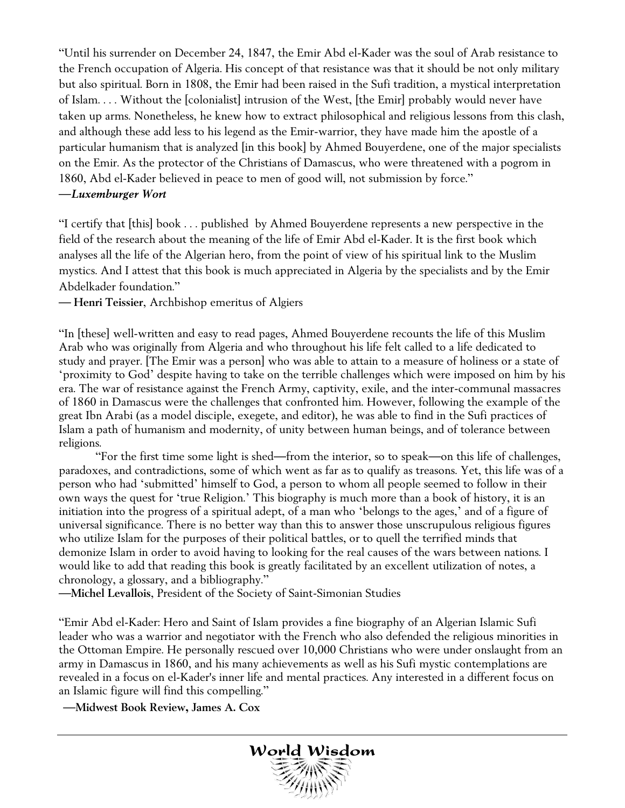―Until his surrender on December 24, 1847, the Emir Abd el-Kader was the soul of Arab resistance to the French occupation of Algeria. His concept of that resistance was that it should be not only military but also spiritual. Born in 1808, the Emir had been raised in the Sufi tradition, a mystical interpretation of Islam. . . . Without the [colonialist] intrusion of the West, [the Emir] probably would never have taken up arms. Nonetheless, he knew how to extract philosophical and religious lessons from this clash, and although these add less to his legend as the Emir-warrior, they have made him the apostle of a particular humanism that is analyzed [in this book] by Ahmed Bouyerdene, one of the major specialists on the Emir. As the protector of the Christians of Damascus, who were threatened with a pogrom in 1860, Abd el-Kader believed in peace to men of good will, not submission by force."

#### —*Luxemburger Wort*

―I certify that [this] book . . . published by Ahmed Bouyerdene represents a new perspective in the field of the research about the meaning of the life of Emir Abd el-Kader. It is the first book which analyses all the life of the Algerian hero, from the point of view of his spiritual link to the Muslim mystics. And I attest that this book is much appreciated in Algeria by the specialists and by the Emir Abdelkader foundation."

— **Henri Teissier**, Archbishop emeritus of Algiers

―In [these] well-written and easy to read pages, Ahmed Bouyerdene recounts the life of this Muslim Arab who was originally from Algeria and who throughout his life felt called to a life dedicated to study and prayer. [The Emir was a person] who was able to attain to a measure of holiness or a state of ‗proximity to God' despite having to take on the terrible challenges which were imposed on him by his era. The war of resistance against the French Army, captivity, exile, and the inter-communal massacres of 1860 in Damascus were the challenges that confronted him. However, following the example of the great Ibn Arabi (as a model disciple, exegete, and editor), he was able to find in the Sufi practices of Islam a path of humanism and modernity, of unity between human beings, and of tolerance between religions.

―For the first time some light is shed—from the interior, so to speak—on this life of challenges, paradoxes, and contradictions, some of which went as far as to qualify as treasons. Yet, this life was of a person who had ‗submitted' himself to God, a person to whom all people seemed to follow in their own ways the quest for 'true Religion.' This biography is much more than a book of history, it is an initiation into the progress of a spiritual adept, of a man who 'belongs to the ages,' and of a figure of universal significance. There is no better way than this to answer those unscrupulous religious figures who utilize Islam for the purposes of their political battles, or to quell the terrified minds that demonize Islam in order to avoid having to looking for the real causes of the wars between nations. I would like to add that reading this book is greatly facilitated by an excellent utilization of notes, a chronology, a glossary, and a bibliography."

—**Michel Levallois**, President of the Society of Saint-Simonian Studies

―Emir Abd el-Kader: Hero and Saint of Islam provides a fine biography of an Algerian Islamic Sufi leader who was a warrior and negotiator with the French who also defended the religious minorities in the Ottoman Empire. He personally rescued over 10,000 Christians who were under onslaught from an army in Damascus in 1860, and his many achievements as well as his Sufi mystic contemplations are revealed in a focus on el-Kader's inner life and mental practices. Any interested in a different focus on an Islamic figure will find this compelling."

—**Midwest Book Review, James A. Cox**